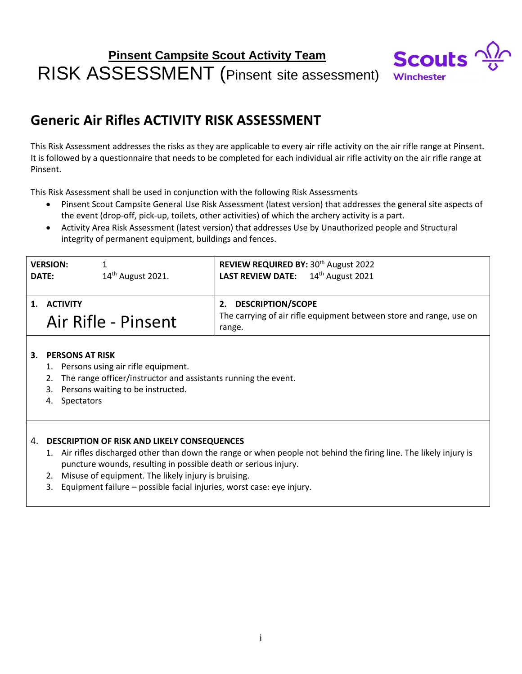# **Pinsent Campsite Scout Activity Team** RISK ASSESSMENT (Pinsent site assessment)



### **Generic Air Rifles ACTIVITY RISK ASSESSMENT**

This Risk Assessment addresses the risks as they are applicable to every air rifle activity on the air rifle range at Pinsent. It is followed by a questionnaire that needs to be completed for each individual air rifle activity on the air rifle range at Pinsent.

This Risk Assessment shall be used in conjunction with the following Risk Assessments

- Pinsent Scout Campsite General Use Risk Assessment (latest version) that addresses the general site aspects of the event (drop-off, pick-up, toilets, other activities) of which the archery activity is a part.
- Activity Area Risk Assessment (latest version) that addresses Use by Unauthorized people and Structural integrity of permanent equipment, buildings and fences.

| <b>VERSION:</b><br><b>DATE:</b>        | $14th$ August 2021. | REVIEW REQUIRED BY: 30 <sup>th</sup> August 2022<br>LAST REVIEW DATE: 14 <sup>th</sup> August 2021              |
|----------------------------------------|---------------------|-----------------------------------------------------------------------------------------------------------------|
| <b>ACTIVITY</b><br>Air Rifle - Pinsent |                     | <b>DESCRIPTION/SCOPE</b><br>2.<br>The carrying of air rifle equipment between store and range, use on<br>range. |

#### **3. PERSONS AT RISK**

- 1. Persons using air rifle equipment.
- 2. The range officer/instructor and assistants running the event.
- 3. Persons waiting to be instructed.
- 4. Spectators

#### 4. **DESCRIPTION OF RISK AND LIKELY CONSEQUENCES**

- 1. Air rifles discharged other than down the range or when people not behind the firing line. The likely injury is puncture wounds, resulting in possible death or serious injury.
- 2. Misuse of equipment. The likely injury is bruising.
- 3. Equipment failure possible facial injuries, worst case: eye injury.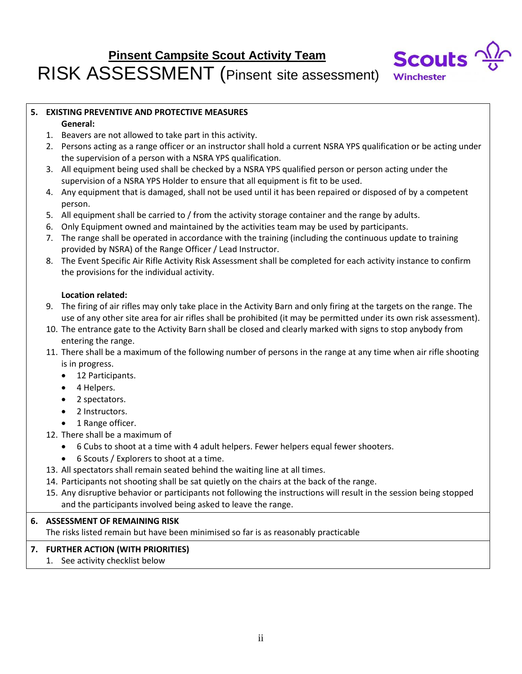# **Pinsent Campsite Scout Activity Team** RISK ASSESSMENT (Pinsent site assessment)



### **5. EXISTING PREVENTIVE AND PROTECTIVE MEASURES**

#### **General:**

- 1. Beavers are not allowed to take part in this activity.
- 2. Persons acting as a range officer or an instructor shall hold a current NSRA YPS qualification or be acting under the supervision of a person with a NSRA YPS qualification.
- 3. All equipment being used shall be checked by a NSRA YPS qualified person or person acting under the supervision of a NSRA YPS Holder to ensure that all equipment is fit to be used.
- 4. Any equipment that is damaged, shall not be used until it has been repaired or disposed of by a competent person.
- 5. All equipment shall be carried to / from the activity storage container and the range by adults.
- 6. Only Equipment owned and maintained by the activities team may be used by participants.
- 7. The range shall be operated in accordance with the training (including the continuous update to training provided by NSRA) of the Range Officer / Lead Instructor.
- 8. The Event Specific Air Rifle Activity Risk Assessment shall be completed for each activity instance to confirm the provisions for the individual activity.

#### **Location related:**

- 9. The firing of air rifles may only take place in the Activity Barn and only firing at the targets on the range. The use of any other site area for air rifles shall be prohibited (it may be permitted under its own risk assessment).
- 10. The entrance gate to the Activity Barn shall be closed and clearly marked with signs to stop anybody from entering the range.
- 11. There shall be a maximum of the following number of persons in the range at any time when air rifle shooting is in progress.
	- 12 Participants.
	- 4 Helpers.
	- 2 spectators.
	- 2 Instructors.
	- 1 Range officer.
- 12. There shall be a maximum of
	- 6 Cubs to shoot at a time with 4 adult helpers. Fewer helpers equal fewer shooters.
	- 6 Scouts / Explorers to shoot at a time.
- 13. All spectators shall remain seated behind the waiting line at all times.
- 14. Participants not shooting shall be sat quietly on the chairs at the back of the range.
- 15. Any disruptive behavior or participants not following the instructions will result in the session being stopped and the participants involved being asked to leave the range.

#### **6. ASSESSMENT OF REMAINING RISK**

The risks listed remain but have been minimised so far is as reasonably practicable

#### **7. FURTHER ACTION (WITH PRIORITIES)**

1. See activity checklist below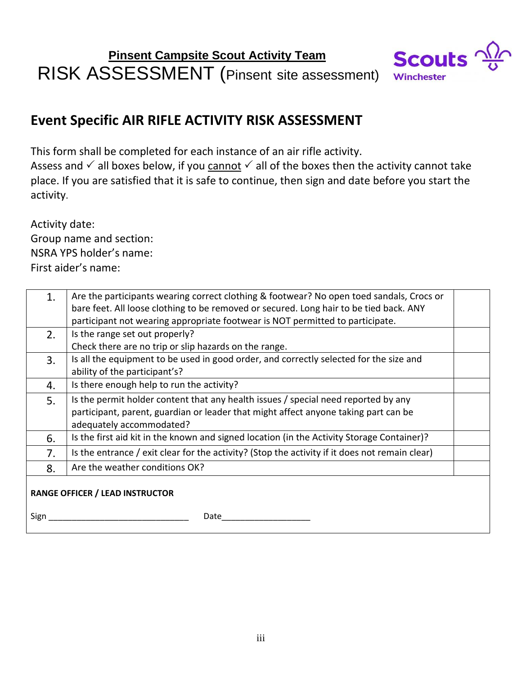

## **Event Specific AIR RIFLE ACTIVITY RISK ASSESSMENT**

This form shall be completed for each instance of an air rifle activity.

Assess and  $\checkmark$  all boxes below, if you cannot  $\checkmark$  all of the boxes then the activity cannot take place. If you are satisfied that it is safe to continue, then sign and date before you start the activity.

Activity date:

Group name and section: NSRA YPS holder's name: First aider's name:

| 1.                                     | Are the participants wearing correct clothing & footwear? No open toed sandals, Crocs or<br>bare feet. All loose clothing to be removed or secured. Long hair to be tied back. ANY |  |  |
|----------------------------------------|------------------------------------------------------------------------------------------------------------------------------------------------------------------------------------|--|--|
|                                        | participant not wearing appropriate footwear is NOT permitted to participate.                                                                                                      |  |  |
| 2.                                     | Is the range set out properly?                                                                                                                                                     |  |  |
|                                        | Check there are no trip or slip hazards on the range.                                                                                                                              |  |  |
| 3.                                     | Is all the equipment to be used in good order, and correctly selected for the size and                                                                                             |  |  |
|                                        | ability of the participant's?                                                                                                                                                      |  |  |
| 4.                                     | Is there enough help to run the activity?                                                                                                                                          |  |  |
| 5.                                     | Is the permit holder content that any health issues / special need reported by any                                                                                                 |  |  |
|                                        | participant, parent, guardian or leader that might affect anyone taking part can be                                                                                                |  |  |
|                                        | adequately accommodated?                                                                                                                                                           |  |  |
| 6.                                     | Is the first aid kit in the known and signed location (in the Activity Storage Container)?                                                                                         |  |  |
| 7.                                     | Is the entrance / exit clear for the activity? (Stop the activity if it does not remain clear)                                                                                     |  |  |
| 8.                                     | Are the weather conditions OK?                                                                                                                                                     |  |  |
| <b>RANGE OFFICER / LEAD INSTRUCTOR</b> |                                                                                                                                                                                    |  |  |
| Sign                                   | Date                                                                                                                                                                               |  |  |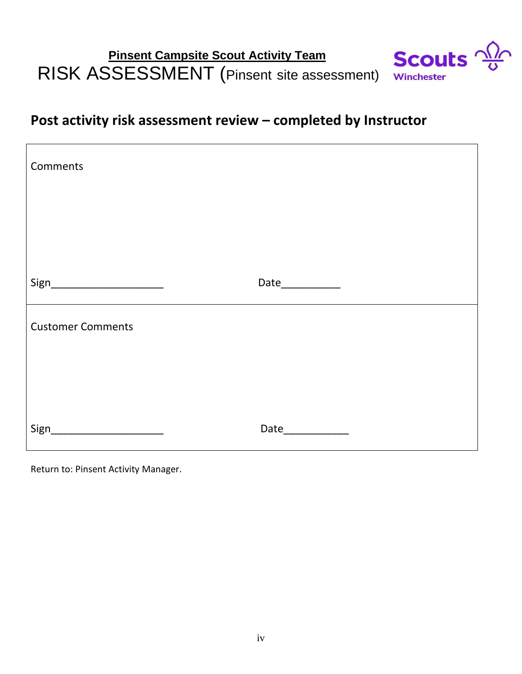#### **Scouts Pinsent Campsite Scout Activity Team** RISK ASSESSMENT (Pinsent site assessment) Winchester



| Comments                        |                  |
|---------------------------------|------------------|
|                                 |                  |
|                                 |                  |
| Sign___________________________ | Date____________ |
| <b>Customer Comments</b>        |                  |
|                                 |                  |
|                                 |                  |
| Sign_                           | Date____________ |

Return to: Pinsent Activity Manager.